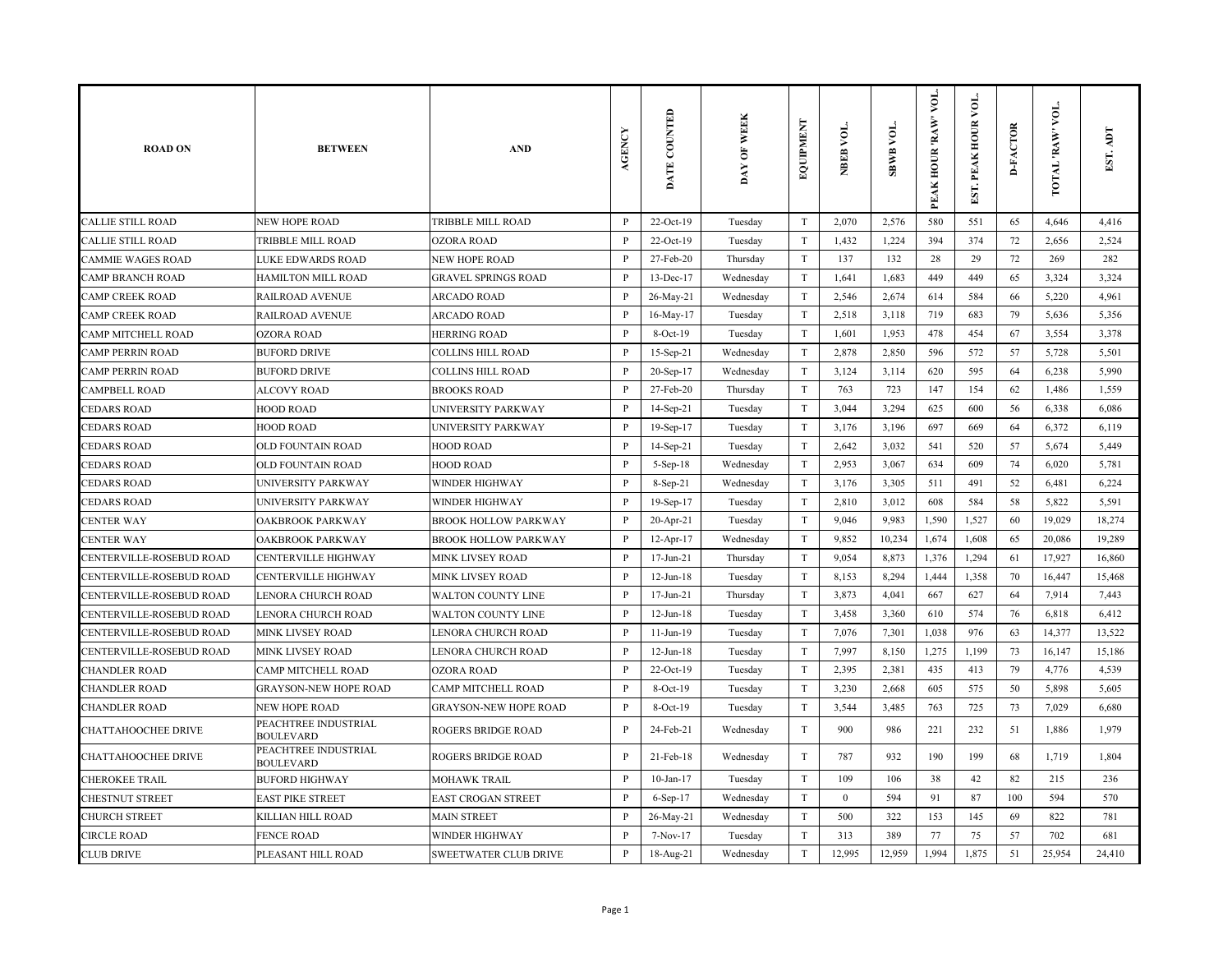| <b>ROAD ON</b>           | <b>BETWEEN</b>                           | <b>AND</b>                   | AGENCY       | DATE COUNTED    | DAY OF WEEK | EQUIPMENT                 | NBEB VOL.        | SBWB VOL. | VOL.<br>PEAK HOUR 'RAW' | EST. PEAK HOUR VOL | <b>D-FACTOR</b> | TOTAL RAW VOL. | EST. ADT |
|--------------------------|------------------------------------------|------------------------------|--------------|-----------------|-------------|---------------------------|------------------|-----------|-------------------------|--------------------|-----------------|----------------|----------|
| CALLIE STILL ROAD        | <b>NEW HOPE ROAD</b>                     | TRIBBLE MILL ROAD            | P            | 22-Oct-19       | Tuesday     | T                         | 2,070            | 2,576     | 580                     | 551                | 65              | 4,646          | 4,416    |
| CALLIE STILL ROAD        | TRIBBLE MILL ROAD                        | <b>OZORA ROAD</b>            | $\, {\bf P}$ | 22-Oct-19       | Tuesday     | T                         | 1,432            | 1,224     | 394                     | 374                | 72              | 2,656          | 2,524    |
| CAMMIE WAGES ROAD        | LUKE EDWARDS ROAD                        | NEW HOPE ROAD                | $\, {\bf P}$ | 27-Feb-20       | Thursday    | T                         | 137              | 132       | 28                      | 29                 | 72              | 269            | 282      |
| CAMP BRANCH ROAD         | HAMILTON MILL ROAD                       | <b>GRAVEL SPRINGS ROAD</b>   | $\mathbf{P}$ | 13-Dec-17       | Wednesday   | $\mathbf T$               | 1,641            | 1,683     | 449                     | 449                | 65              | 3,324          | 3,324    |
| CAMP CREEK ROAD          | <b>RAILROAD AVENUE</b>                   | <b>ARCADO ROAD</b>           | $\mathbf{P}$ | 26-May-21       | Wednesday   | T                         | 2,546            | 2,674     | 614                     | 584                | 66              | 5,220          | 4,961    |
| CAMP CREEK ROAD          | RAILROAD AVENUE                          | <b>ARCADO ROAD</b>           | P            | 16-May-17       | Tuesday     | T                         | 2,518            | 3,118     | 719                     | 683                | 79              | 5,636          | 5,356    |
| CAMP MITCHELL ROAD       | <b>OZORA ROAD</b>                        | <b>HERRING ROAD</b>          | $\mathbf{P}$ | $8-Oct-19$      | Tuesday     | T                         | 1,601            | 1,953     | 478                     | 454                | 67              | 3,554          | 3,378    |
| CAMP PERRIN ROAD         | <b>BUFORD DRIVE</b>                      | <b>COLLINS HILL ROAD</b>     | $\, {\bf P}$ | 15-Sep-21       | Wednesday   | $\ensuremath{\mathrm{T}}$ | 2,878            | 2,850     | 596                     | 572                | 57              | 5,728          | 5,501    |
| CAMP PERRIN ROAD         | <b>BUFORD DRIVE</b>                      | <b>COLLINS HILL ROAD</b>     | P            | 20-Sep-17       | Wednesday   | T                         | 3,124            | 3,114     | 620                     | 595                | 64              | 6,238          | 5,990    |
| CAMPBELL ROAD            | <b>ALCOVY ROAD</b>                       | <b>BROOKS ROAD</b>           | $\, {\bf P}$ | 27-Feb-20       | Thursday    | T                         | 763              | 723       | 147                     | 154                | 62              | 1,486          | 1,559    |
| <b>EDARS ROAD</b>        | <b>HOOD ROAD</b>                         | UNIVERSITY PARKWAY           | $\, {\bf P}$ | $14-Sep-21$     | Tuesday     | $\mathbf T$               | 3,044            | 3,294     | 625                     | 600                | 56              | 6,338          | 6,086    |
| CEDARS ROAD              | <b>HOOD ROAD</b>                         | UNIVERSITY PARKWAY           | $\mathbf{P}$ | $19-Sep-17$     | Tuesday     | T                         | 3,176            | 3,196     | 697                     | 669                | 64              | 6,372          | 6,119    |
| <b>EDARS ROAD</b>        | OLD FOUNTAIN ROAD                        | <b>HOOD ROAD</b>             | P            | 14-Sep-21       | Tuesday     | T                         | 2,642            | 3,032     | 541                     | 520                | 57              | 5,674          | 5,449    |
| CEDARS ROAD              | OLD FOUNTAIN ROAD                        | <b>HOOD ROAD</b>             | $\mathbf{P}$ | 5-Sep-18        | Wednesday   | T                         | 2,953            | 3,067     | 634                     | 609                | 74              | 6,020          | 5,781    |
| <b>EDARS ROAD</b>        | UNIVERSITY PARKWAY                       | <b>WINDER HIGHWAY</b>        | $\, {\bf P}$ | 8-Sep-21        | Wednesday   | $\mathbf T$               | 3,176            | 3,305     | 511                     | 491                | 52              | 6,481          | 6,224    |
| <b>EDARS ROAD</b>        | UNIVERSITY PARKWAY                       | <b>WINDER HIGHWAY</b>        | P            | 19-Sep-17       | Tuesday     | T                         | 2,810            | 3,012     | 608                     | 584                | 58              | 5,822          | 5,591    |
| CENTER WAY               | OAKBROOK PARKWAY                         | <b>BROOK HOLLOW PARKWAY</b>  | $\, {\bf P}$ | $20$ -Apr-21    | Tuesday     | T                         | 9,046            | 9,983     | 1,590                   | 1,527              | 60              | 19,029         | 18,274   |
| CENTER WAY               | OAKBROOK PARKWAY                         | <b>BROOK HOLLOW PARKWAY</b>  | P            | $12-Apr-17$     | Wednesday   | $\mathbf T$               | 9,852            | 10,234    | 1,674                   | 1,608              | 65              | 20,086         | 19,289   |
| CENTERVILLE-ROSEBUD ROAD | CENTERVILLE HIGHWAY                      | MINK LIVSEY ROAD             | $\, {\bf P}$ | $17$ -Jun- $21$ | Thursday    | $\mathbf T$               | 9,054            | 8,873     | 1,376                   | 1,294              | 61              | 17,927         | 16,860   |
| CENTERVILLE-ROSEBUD ROAD | <b>CENTERVILLE HIGHWAY</b>               | <b>MINK LIVSEY ROAD</b>      | $\, {\bf P}$ | $12$ -Jun- $18$ | Tuesday     | $\mathbf T$               | 8,153            | 8,294     | 1,444                   | 1,358              | 70              | 16,447         | 15,468   |
| CENTERVILLE-ROSEBUD ROAD | LENORA CHURCH ROAD                       | <b>WALTON COUNTY LINE</b>    | $\mathbf{P}$ | $17$ -Jun- $21$ | Thursday    | T                         | 3,873            | 4,041     | 667                     | 627                | 64              | 7,914          | 7,443    |
| CENTERVILLE-ROSEBUD ROAD | LENORA CHURCH ROAD                       | <b>WALTON COUNTY LINE</b>    | $\mathbf{P}$ | $12$ -Jun- $18$ | Tuesday     | $\mathbf T$               | 3,458            | 3,360     | 610                     | 574                | 76              | 6,818          | 6,412    |
| CENTERVILLE-ROSEBUD ROAD | <b>MINK LIVSEY ROAD</b>                  | LENORA CHURCH ROAD           | P            | $11-Jun-19$     | Tuesday     | T                         | 7,076            | 7,301     | 1,038                   | 976                | 63              | 14,377         | 13,522   |
| CENTERVILLE-ROSEBUD ROAD | <b>MINK LIVSEY ROAD</b>                  | <b>LENORA CHURCH ROAD</b>    | $\, {\bf P}$ | $12$ -Jun- $18$ | Tuesday     | T                         | 7,997            | 8,150     | 1,275                   | 1,199              | 73              | 16,147         | 15,186   |
| CHANDLER ROAD            | CAMP MITCHELL ROAD                       | <b>OZORA ROAD</b>            | P            | 22-Oct-19       | Tuesday     | T                         | 2,395            | 2,381     | 435                     | 413                | 79              | 4,776          | 4,539    |
| CHANDLER ROAD            | <b>GRAYSON-NEW HOPE ROAD</b>             | CAMP MITCHELL ROAD           | $\, {\bf P}$ | 8-Oct-19        | Tuesday     | $\mathbf T$               | 3,230            | 2,668     | 605                     | 575                | 50              | 5,898          | 5,605    |
| CHANDLER ROAD            | <b>NEW HOPE ROAD</b>                     | <b>GRAYSON-NEW HOPE ROAD</b> | P            | $8-Oct-19$      | Tuesday     | T                         | 3,544            | 3,485     | 763                     | 725                | 73              | 7,029          | 6,680    |
| CHATTAHOOCHEE DRIVE      | PEACHTREE INDUSTRIAL<br><b>BOULEVARD</b> | <b>ROGERS BRIDGE ROAD</b>    | $\, {\bf P}$ | 24-Feb-21       | Wednesday   | T                         | 900              | 986       | 221                     | 232                | 51              | 1,886          | 1,979    |
| CHATTAHOOCHEE DRIVE      | PEACHTREE INDUSTRIAL<br><b>BOULEVARD</b> | <b>ROGERS BRIDGE ROAD</b>    | $\, {\bf P}$ | 21-Feb-18       | Wednesday   | T                         | 787              | 932       | 190                     | 199                | 68              | 1,719          | 1,804    |
| CHEROKEE TRAIL           | <b>BUFORD HIGHWAY</b>                    | <b>MOHAWK TRAIL</b>          | $\, {\bf P}$ | $10$ -Jan- $17$ | Tuesday     | T                         | 109              | 106       | 38                      | 42                 | 82              | 215            | 236      |
| <b>CHESTNUT STREET</b>   | <b>EAST PIKE STREET</b>                  | <b>EAST CROGAN STREET</b>    | $\, {\bf p}$ | $6-Sep-17$      | Wednesday   | $\mathbf T$               | $\boldsymbol{0}$ | 594       | 91                      | 87                 | 100             | 594            | 570      |
| <b>CHURCH STREET</b>     | KILLIAN HILL ROAD                        | <b>MAIN STREET</b>           | P            | 26-May-21       | Wednesday   | T                         | 500              | 322       | 153                     | 145                | 69              | 822            | 781      |
| <b>CIRCLE ROAD</b>       | <b>FENCE ROAD</b>                        | <b>WINDER HIGHWAY</b>        | $\mathbf{P}$ | 7-Nov-17        | Tuesday     | $\mathbf T$               | 313              | 389       | 77                      | 75                 | 57              | 702            | 681      |
| <b>CLUB DRIVE</b>        | PLEASANT HILL ROAD                       | <b>SWEETWATER CLUB DRIVE</b> | P            | 18-Aug-21       | Wednesday   | T                         | 12.995           | 12,959    | 1,994                   | 1,875              | 51              | 25,954         | 24,410   |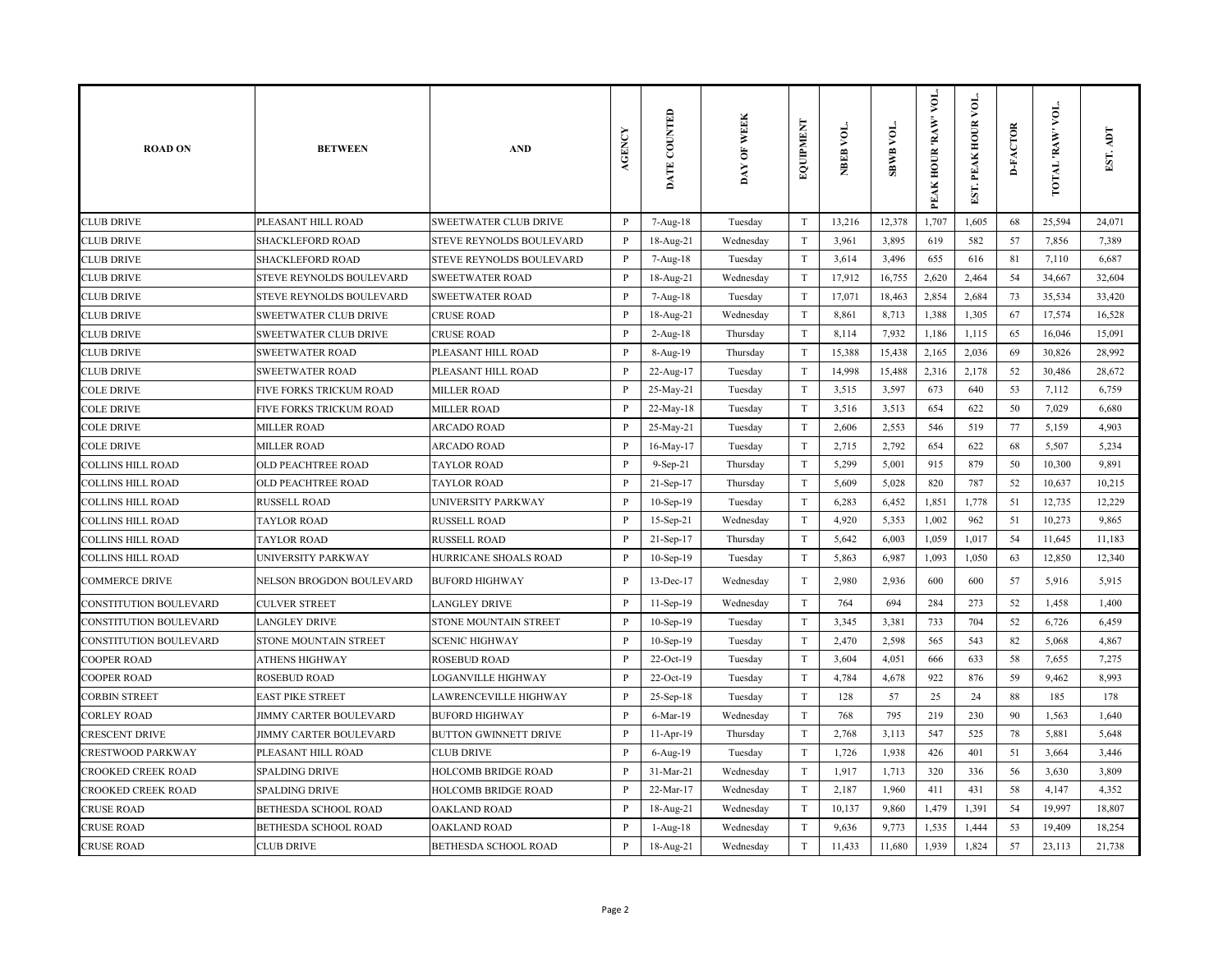| <b>ROAD ON</b>            | <b>BETWEEN</b>                | <b>AND</b>                   | AGENCY       | DATE COUNTED | DAY OF WEEK | EQUIPMENT                 | NBEB VOL. | <b>SBWB VOL.</b> | VOL.<br>PEAK HOUR 'RAW' | EST. PEAK HOUR VOL | <b>D-FACTOR</b> | VOL.<br><b>WAR' JATOT</b> | EST. ADT |
|---------------------------|-------------------------------|------------------------------|--------------|--------------|-------------|---------------------------|-----------|------------------|-------------------------|--------------------|-----------------|---------------------------|----------|
| <b>CLUB DRIVE</b>         | PLEASANT HILL ROAD            | <b>SWEETWATER CLUB DRIVE</b> | P            | 7-Aug-18     | Tuesday     | T                         | 13,216    | 12,378           | 1,707                   | 1,605              | 68              | 25,594                    | 24,071   |
| <b>CLUB DRIVE</b>         | <b>SHACKLEFORD ROAD</b>       | STEVE REYNOLDS BOULEVARD     | P            | 18-Aug-21    | Wednesday   | T                         | 3,961     | 3,895            | 619                     | 582                | 57              | 7,856                     | 7,389    |
| <b>CLUB DRIVE</b>         | <b>SHACKLEFORD ROAD</b>       | STEVE REYNOLDS BOULEVARD     | $\, {\bf P}$ | 7-Aug-18     | Tuesday     | T                         | 3,614     | 3,496            | 655                     | 616                | 81              | 7,110                     | 6,687    |
| <b>CLUB DRIVE</b>         | STEVE REYNOLDS BOULEVARD      | <b>SWEETWATER ROAD</b>       | $\mathbf{P}$ | 18-Aug-21    | Wednesday   | T                         | 17,912    | 16,755           | 2,620                   | 2,464              | 54              | 34,667                    | 32,604   |
| <b>CLUB DRIVE</b>         | STEVE REYNOLDS BOULEVARD      | <b>SWEETWATER ROAD</b>       | P            | 7-Aug-18     | Tuesday     | T                         | 17,071    | 18,463           | 2,854                   | 2,684              | 73              | 35,534                    | 33,420   |
| <b>CLUB DRIVE</b>         | <b>SWEETWATER CLUB DRIVE</b>  | <b>CRUSE ROAD</b>            | P            | 18-Aug-21    | Wednesday   | T                         | 8,861     | 8,713            | 1,388                   | 1,305              | 67              | 17,574                    | 16,528   |
| CLUB DRIVE                | SWEETWATER CLUB DRIVE         | <b>CRUSE ROAD</b>            | P            | $2-Aug-18$   | Thursday    | T                         | 8,114     | 7,932            | 1,186                   | 1,115              | 65              | 16,046                    | 15,091   |
| <b>CLUB DRIVE</b>         | <b>SWEETWATER ROAD</b>        | PLEASANT HILL ROAD           | P            | 8-Aug-19     | Thursday    | T                         | 15,388    | 15,438           | 2,165                   | 2,036              | 69              | 30,826                    | 28,992   |
| <b>CLUB DRIVE</b>         | <b>SWEETWATER ROAD</b>        | PLEASANT HILL ROAD           | $\mathbf P$  | 22-Aug-17    | Tuesday     | T                         | 14,998    | 15,488           | 2,316                   | 2,178              | 52              | 30,486                    | 28,672   |
| <b>COLE DRIVE</b>         | FIVE FORKS TRICKUM ROAD       | <b>MILLER ROAD</b>           | $\mathbf{P}$ | 25-May-21    | Tuesday     | $\rm T$                   | 3,515     | 3,597            | 673                     | 640                | 53              | 7,112                     | 6,759    |
| <b>COLE DRIVE</b>         | FIVE FORKS TRICKUM ROAD       | <b>MILLER ROAD</b>           | $\mathbf{P}$ | 22-May-18    | Tuesday     | T                         | 3,516     | 3,513            | 654                     | 622                | 50              | 7,029                     | 6,680    |
| <b>COLE DRIVE</b>         | <b>MILLER ROAD</b>            | <b>ARCADO ROAD</b>           | P            | 25-May-21    | Tuesday     | T                         | 2,606     | 2,553            | 546                     | 519                | 77              | 5,159                     | 4,903    |
| <b>COLE DRIVE</b>         | <b>MILLER ROAD</b>            | <b>ARCADO ROAD</b>           | $\mathbf{P}$ | 16-May-17    | Tuesday     | T                         | 2,715     | 2,792            | 654                     | 622                | 68              | 5,507                     | 5,234    |
| <b>COLLINS HILL ROAD</b>  | OLD PEACHTREE ROAD            | <b>TAYLOR ROAD</b>           | $\mathbf{P}$ | 9-Sep-21     | Thursday    | $\rm T$                   | 5,299     | 5,001            | 915                     | 879                | 50              | 10,300                    | 9,891    |
| <b>COLLINS HILL ROAD</b>  | OLD PEACHTREE ROAD            | <b>TAYLOR ROAD</b>           | $\mathbf{P}$ | 21-Sep-17    | Thursday    | $\ensuremath{\mathrm{T}}$ | 5,609     | 5,028            | 820                     | 787                | 52              | 10,637                    | 10,215   |
| <b>COLLINS HILL ROAD</b>  | <b>RUSSELL ROAD</b>           | UNIVERSITY PARKWAY           | $\, {\bf P}$ | 10-Sep-19    | Tuesday     | $\mathbf T$               | 6,283     | 6,452            | 1,851                   | 1,778              | 51              | 12,735                    | 12,229   |
| <b>COLLINS HILL ROAD</b>  | <b>TAYLOR ROAD</b>            | <b>RUSSELL ROAD</b>          | P            | 15-Sep-21    | Wednesday   | T                         | 4,920     | 5,353            | 1,002                   | 962                | 51              | 10,273                    | 9,865    |
| <b>COLLINS HILL ROAD</b>  | <b>TAYLOR ROAD</b>            | <b>RUSSELL ROAD</b>          | P            | 21-Sep-17    | Thursday    | T                         | 5,642     | 6,003            | 1,059                   | 1,017              | 54              | 11,645                    | 11,183   |
| <b>COLLINS HILL ROAD</b>  | UNIVERSITY PARKWAY            | HURRICANE SHOALS ROAD        | $\mathbf{P}$ | $10-Sep-19$  | Tuesday     | T                         | 5,863     | 6,987            | 1,093                   | 1,050              | 63              | 12,850                    | 12,340   |
| <b>COMMERCE DRIVE</b>     | NELSON BROGDON BOULEVARD      | <b>BUFORD HIGHWAY</b>        | $\mathbf{P}$ | 13-Dec-17    | Wednesday   | T                         | 2,980     | 2,936            | 600                     | 600                | 57              | 5,916                     | 5,915    |
| CONSTITUTION BOULEVARD    | <b>CULVER STREET</b>          | <b>LANGLEY DRIVE</b>         | P            | $11-Sep-19$  | Wednesday   | T                         | 764       | 694              | 284                     | 273                | 52              | 1,458                     | 1,400    |
| CONSTITUTION BOULEVARD    | <b>LANGLEY DRIVE</b>          | <b>STONE MOUNTAIN STREET</b> | P            | 10-Sep-19    | Tuesday     | T                         | 3,345     | 3,381            | 733                     | 704                | 52              | 6,726                     | 6,459    |
| CONSTITUTION BOULEVARD    | STONE MOUNTAIN STREET         | <b>SCENIC HIGHWAY</b>        | P            | $10-Sep-19$  | Tuesday     | T                         | 2,470     | 2,598            | 565                     | 543                | 82              | 5,068                     | 4,867    |
| <b>COOPER ROAD</b>        | ATHENS HIGHWAY                | <b>ROSEBUD ROAD</b>          | $\mathbf{P}$ | 22-Oct-19    | Tuesday     | $\mathbf T$               | 3,604     | 4,051            | 666                     | 633                | 58              | 7,655                     | 7,275    |
| <b>COOPER ROAD</b>        | <b>ROSEBUD ROAD</b>           | <b>LOGANVILLE HIGHWAY</b>    | $\mathbf{P}$ | 22-Oct-19    | Tuesday     | $\mathbf T$               | 4,784     | 4,678            | 922                     | 876                | 59              | 9,462                     | 8,993    |
| CORBIN STREET             | <b>EAST PIKE STREET</b>       | LAWRENCEVILLE HIGHWAY        | P            | 25-Sep-18    | Tuesday     | $\mathbf T$               | 128       | 57               | 25                      | 24                 | 88              | 185                       | 178      |
| <b>CORLEY ROAD</b>        | <b>JIMMY CARTER BOULEVARD</b> | <b>BUFORD HIGHWAY</b>        | P            | 6-Mar-19     | Wednesday   | T                         | 768       | 795              | 219                     | 230                | 90              | 1,563                     | 1,640    |
| <b>CRESCENT DRIVE</b>     | <b>JIMMY CARTER BOULEVARD</b> | <b>BUTTON GWINNETT DRIVE</b> | $\mathbf{P}$ | 11-Apr-19    | Thursday    | T                         | 2,768     | 3,113            | 547                     | 525                | 78              | 5,881                     | 5,648    |
| CRESTWOOD PARKWAY         | PLEASANT HILL ROAD            | <b>CLUB DRIVE</b>            | P            | 6-Aug-19     | Tuesday     | T                         | 1,726     | 1,938            | 426                     | 401                | 51              | 3,664                     | 3,446    |
| <b>CROOKED CREEK ROAD</b> | <b>SPALDING DRIVE</b>         | HOLCOMB BRIDGE ROAD          | $\, {\bf P}$ | 31-Mar-21    | Wednesday   | $\mathbf T$               | 1,917     | 1,713            | 320                     | 336                | 56              | 3,630                     | 3,809    |
| CROOKED CREEK ROAD        | <b>SPALDING DRIVE</b>         | HOLCOMB BRIDGE ROAD          | $\mathbf{P}$ | 22-Mar-17    | Wednesday   | T                         | 2,187     | 1,960            | 411                     | 431                | 58              | 4,147                     | 4,352    |
| <b>CRUSE ROAD</b>         | BETHESDA SCHOOL ROAD          | OAKLAND ROAD                 | P            | 18-Aug-21    | Wednesday   | T                         | 10,137    | 9,860            | 1,479                   | 1,391              | 54              | 19,997                    | 18,807   |
| <b>CRUSE ROAD</b>         | BETHESDA SCHOOL ROAD          | <b>OAKLAND ROAD</b>          | P            | $1-Aug-18$   | Wednesday   | T                         | 9,636     | 9,773            | 1,535                   | 1,444              | 53              | 19,409                    | 18,254   |
| <b>CRUSE ROAD</b>         | <b>CLUB DRIVE</b>             | BETHESDA SCHOOL ROAD         | $\mathbf{P}$ | 18-Aug-21    | Wednesday   | T                         | 11,433    | 11,680           | 1,939                   | 1,824              | 57              | 23,113                    | 21,738   |